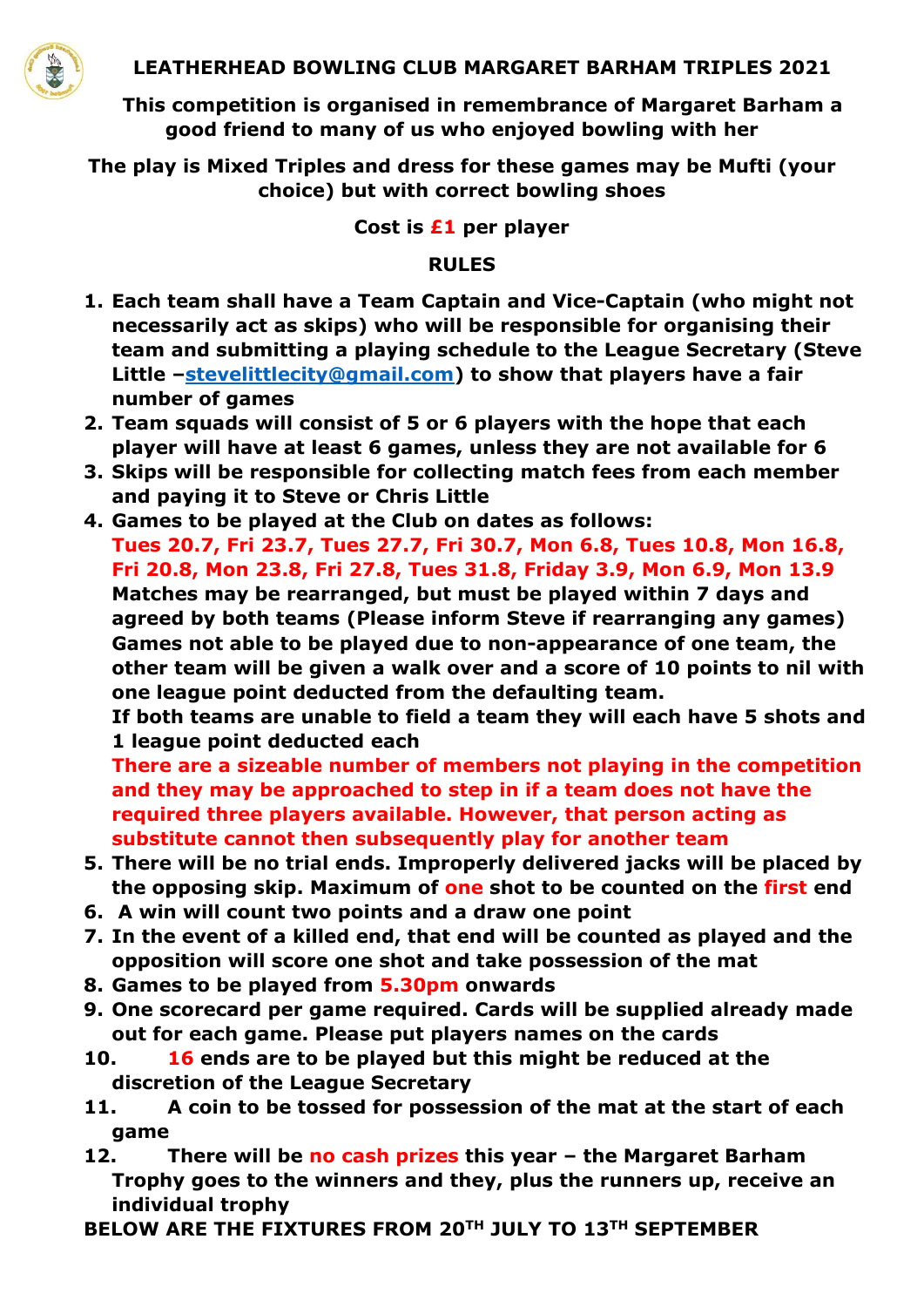

**This competition is organised in remembrance of Margaret Barham a good friend to many of us who enjoyed bowling with her**

**The play is Mixed Triples and dress for these games may be Mufti (your choice) but with correct bowling shoes**

**Cost is £1 per player**

## **RULES**

- **1. Each team shall have a Team Captain and Vice-Captain (who might not necessarily act as skips) who will be responsible for organising their team and submitting a playing schedule to the League Secretary (Steve Little –[stevelittlecity@gmail.com\)](mailto:stevelittlecity@gmail.com) to show that players have a fair number of games**
- **2. Team squads will consist of 5 or 6 players with the hope that each player will have at least 6 games, unless they are not available for 6**
- **3. Skips will be responsible for collecting match fees from each member and paying it to Steve or Chris Little**
- **4. Games to be played at the Club on dates as follows:**

**Tues 20.7, Fri 23.7, Tues 27.7, Fri 30.7, Mon 6.8, Tues 10.8, Mon 16.8, Fri 20.8, Mon 23.8, Fri 27.8, Tues 31.8, Friday 3.9, Mon 6.9, Mon 13.9 Matches may be rearranged, but must be played within 7 days and agreed by both teams (Please inform Steve if rearranging any games) Games not able to be played due to non-appearance of one team, the other team will be given a walk over and a score of 10 points to nil with one league point deducted from the defaulting team.** 

**If both teams are unable to field a team they will each have 5 shots and 1 league point deducted each**

**There are a sizeable number of members not playing in the competition and they may be approached to step in if a team does not have the required three players available. However, that person acting as substitute cannot then subsequently play for another team**

- **5. There will be no trial ends. Improperly delivered jacks will be placed by the opposing skip. Maximum of one shot to be counted on the first end**
- **6. A win will count two points and a draw one point**
- **7. In the event of a killed end, that end will be counted as played and the opposition will score one shot and take possession of the mat**
- **8. Games to be played from 5.30pm onwards**
- **9. One scorecard per game required. Cards will be supplied already made out for each game. Please put players names on the cards**
- **10. 16 ends are to be played but this might be reduced at the discretion of the League Secretary**
- **11. A coin to be tossed for possession of the mat at the start of each game**
- **12. There will be no cash prizes this year – the Margaret Barham Trophy goes to the winners and they, plus the runners up, receive an individual trophy**
- **BELOW ARE THE FIXTURES FROM 20TH JULY TO 13TH SEPTEMBER**